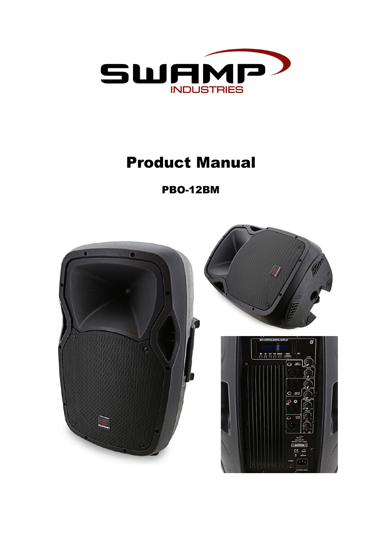

## Product Manual

PBO-12BM

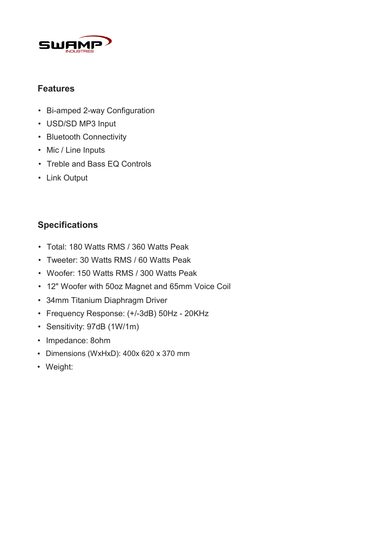

## **Features**

- Bi-amped 2-way Configuration
- USD/SD MP3 Input
- Bluetooth Connectivity
- Mic / Line Inputs
- Treble and Bass EQ Controls
- Link Output

## **Specifications**

- Total: 180 Watts RMS / 360 Watts Peak
- Tweeter: 30 Watts RMS / 60 Watts Peak
- Woofer: 150 Watts RMS / 300 Watts Peak
- 12" Woofer with 50oz Magnet and 65mm Voice Coil
- 34mm Titanium Diaphragm Driver
- Frequency Response: (+/-3dB) 50Hz 20KHz
- Sensitivity: 97dB (1W/1m)
- Impedance: 8ohm
- Dimensions (WxHxD): 400x 620 x 370 mm
- Weight: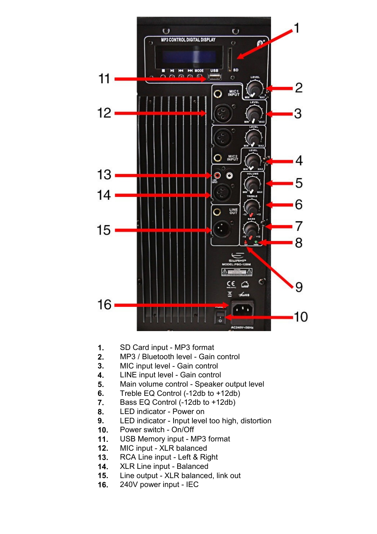

- **1.** SD Card input MP3 format
- **2.** MP3 / Bluetooth level Gain control
- **3.** MIC input level Gain control
- **4.** LINE input level Gain control
- **5.** Main volume control Speaker output level
- **6.** Treble EQ Control (-12db to +12db)
- **7.** Bass EQ Control (-12db to +12db)
- **8.** LED indicator Power on
- **9.** LED indicator Input level too high, distortion
- **10.** Power switch On/Off
- **11.** USB Memory input MP3 format
- **12.** MIC input XLR balanced
- **13.** RCA Line input Left & Right
- **14.** XLR Line input Balanced
- **15.** Line output XLR balanced, link out
- **16.** 240V power input IEC